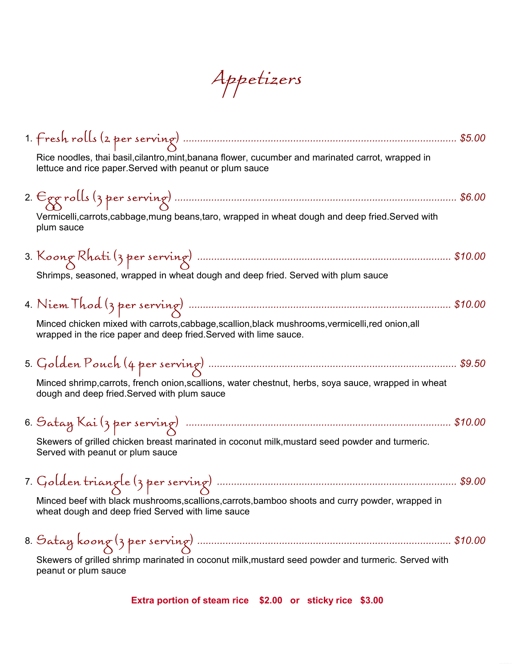Appetizers

| 1. Fresh rolls (2 per serving)                                                                                                                                                              | \$5.00  |
|---------------------------------------------------------------------------------------------------------------------------------------------------------------------------------------------|---------|
| Rice noodles, thai basil, cilantro, mint, banana flower, cucumber and marinated carrot, wrapped in<br>lettuce and rice paper. Served with peanut or plum sauce                              |         |
| 2. Egg rolls (3 per serving)<br>Vermicelli, carrots, cabbage, mung beans, taro, wrapped in wheat dough and deep fried. Served with<br>plum sauce                                            | \$6.00  |
| Shrimps, seasoned, wrapped in wheat dough and deep fried. Served with plum sauce                                                                                                            | \$10.00 |
| Minced chicken mixed with carrots,cabbage,scallion,black mushrooms,vermicelli,red onion,all<br>wrapped in the rice paper and deep fried. Served with lime sauce.                            | \$10.00 |
| 5. Golden Pouch (4 per serving).<br>Minced shrimp, carrots, french onion, scallions, water chestnut, herbs, soya sauce, wrapped in wheat<br>dough and deep fried. Served with plum sauce    | \$9.50  |
| Skewers of grilled chicken breast marinated in coconut milk, mustard seed powder and turmeric.<br>Served with peanut or plum sauce                                                          | \$10.00 |
| 7. Golden triangle (3 per serving)<br>Minced beef with black mushrooms, scallions, carrots, bamboo shoots and curry powder, wrapped in<br>wheat dough and deep fried Served with lime sauce | \$9.00  |
| Skewers of grilled shrimp marinated in coconut milk, mustard seed powder and turmeric. Served with<br>peanut or plum sauce                                                                  |         |

**Extra portion of steam rice \$2.00 or sticky rice \$3.00**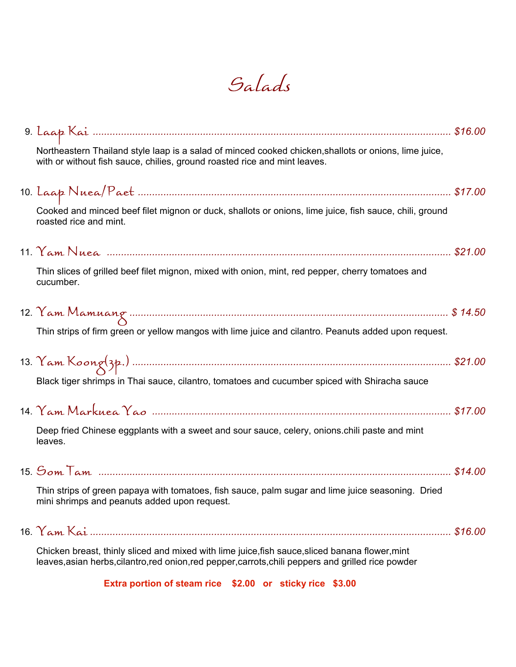Salads

| Northeastern Thailand style laap is a salad of minced cooked chicken, shallots or onions, lime juice,<br>with or without fish sauce, chilies, ground roasted rice and mint leaves. |  |
|------------------------------------------------------------------------------------------------------------------------------------------------------------------------------------|--|
|                                                                                                                                                                                    |  |
| Cooked and minced beef filet mignon or duck, shallots or onions, lime juice, fish sauce, chili, ground<br>roasted rice and mint.                                                   |  |
|                                                                                                                                                                                    |  |
| Thin slices of grilled beef filet mignon, mixed with onion, mint, red pepper, cherry tomatoes and<br>cucumber.                                                                     |  |
|                                                                                                                                                                                    |  |
| Thin strips of firm green or yellow mangos with lime juice and cilantro. Peanuts added upon request.                                                                               |  |
|                                                                                                                                                                                    |  |
| Black tiger shrimps in Thai sauce, cilantro, tomatoes and cucumber spiced with Shiracha sauce                                                                                      |  |
|                                                                                                                                                                                    |  |
| Deep fried Chinese eggplants with a sweet and sour sauce, celery, onions.chili paste and mint<br>leaves.                                                                           |  |
|                                                                                                                                                                                    |  |
| Thin strips of green papaya with tomatoes, fish sauce, palm sugar and lime juice seasoning. Dried<br>mini shrimps and peanuts added upon request.                                  |  |
|                                                                                                                                                                                    |  |

Chicken breast, thinly sliced and mixed with lime juice,fish sauce,sliced banana flower,mint leaves,asian herbs,cilantro,red onion,red pepper,carrots,chili peppers and grilled rice powder

**Extra portion of steam rice \$2.00 or sticky rice \$3.00**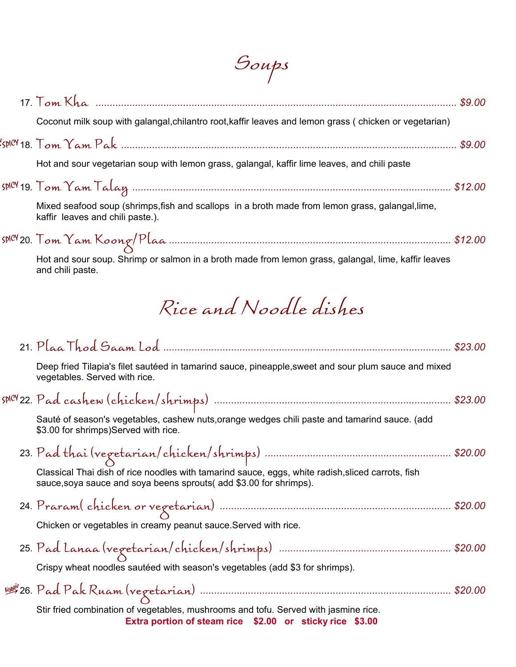Soups

|                                                                                                                                      | \$9.00 |
|--------------------------------------------------------------------------------------------------------------------------------------|--------|
| Coconut milk soup with galangal, chilantro root, kaffir leaves and lemon grass (chicken or vegetarian)                               |        |
|                                                                                                                                      |        |
| Hot and sour vegetarian soup with lemon grass, galangal, kaffir lime leaves, and chili paste                                         |        |
|                                                                                                                                      |        |
| Mixed seafood soup (shrimps, fish and scallops in a broth made from lemon grass, galangal, lime,<br>kaffir leaves and chili paste.). |        |
|                                                                                                                                      |        |
| Hot and sour soup. Shrimp or salmon in a broth made from lemon grass, galangal, lime, kaffir leaves<br>and chili paste.              |        |
| Rice and Noodle dishes                                                                                                               |        |

| Deep fried Tilapia's filet sautéed in tamarind sauce, pineapple, sweet and sour plum sauce and mixed<br>vegetables. Served with rice.                                   |         |
|-------------------------------------------------------------------------------------------------------------------------------------------------------------------------|---------|
|                                                                                                                                                                         | \$23.00 |
| Sauté of season's vegetables, cashew nuts, or ange wedges chili paste and tamarind sauce. (add<br>\$3.00 for shrimps)Served with rice.                                  |         |
|                                                                                                                                                                         | \$20.00 |
| Classical Thai dish of rice noodles with tamarind sauce, eggs, white radish, sliced carrots, fish<br>sauce, soya sauce and soya beens sprouts (add \$3.00 for shrimps). |         |
|                                                                                                                                                                         | \$20.00 |
| Chicken or vegetables in creamy peanut sauce. Served with rice.                                                                                                         |         |
|                                                                                                                                                                         | \$20.00 |
| Crispy wheat noodles sautéed with season's vegetables (add \$3 for shrimps).                                                                                            |         |
|                                                                                                                                                                         | \$20.00 |
| Stir fried combination of vegetables, mushrooms and tofu. Served with jasmine rice.<br>Extra portion of steam rice \$2.00 or sticky rice \$3.00                         |         |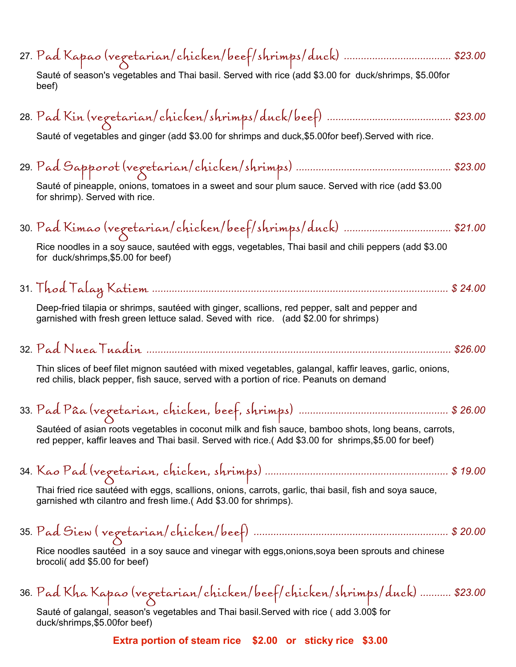| 27. Pad Kapao (vegetarian/chicken/beef/shrimps/duck)<br>\$23.00                                                                                                                                               |         |
|---------------------------------------------------------------------------------------------------------------------------------------------------------------------------------------------------------------|---------|
| Sauté of season's vegetables and Thai basil. Served with rice (add \$3.00 for duck/shrimps, \$5.00for<br>beef)                                                                                                |         |
| 28. Pad Kin (vegetarian/chicken/shrimps/duck/beef)                                                                                                                                                            | \$23.00 |
| Sauté of vegetables and ginger (add \$3.00 for shrimps and duck, \$5.00for beef). Served with rice.                                                                                                           |         |
|                                                                                                                                                                                                               |         |
| Sauté of pineapple, onions, tomatoes in a sweet and sour plum sauce. Served with rice (add \$3.00<br>for shrimp). Served with rice.                                                                           |         |
| 30. Pad Kimao (vegetarian/chicken/beef/shrimps/duck)<br>\$21.00                                                                                                                                               |         |
| Rice noodles in a soy sauce, sautéed with eggs, vegetables, Thai basil and chili peppers (add \$3.00<br>for duck/shrimps, \$5.00 for beef)                                                                    |         |
| 31. Thod Talay Katiem                                                                                                                                                                                         | \$24.00 |
| Deep-fried tilapia or shrimps, sautéed with ginger, scallions, red pepper, salt and pepper and<br>garnished with fresh green lettuce salad. Seved with rice. (add \$2.00 for shrimps)                         |         |
| 32. Pad Nuea Tuadin                                                                                                                                                                                           | \$26.00 |
| Thin slices of beef filet mignon sautéed with mixed vegetables, galangal, kaffir leaves, garlic, onions,<br>red chilis, black pepper, fish sauce, served with a portion of rice. Peanuts on demand            |         |
| 33. Pad Pâa (vegetarian, chicken, beef, shrimps)                                                                                                                                                              | \$26.00 |
| Sautéed of asian roots vegetables in coconut milk and fish sauce, bamboo shots, long beans, carrots,<br>red pepper, kaffir leaves and Thai basil. Served with rice. (Add \$3.00 for shrimps, \$5.00 for beef) |         |
| 34. Kao Pad (vegetarian, chicken, shrimps).                                                                                                                                                                   |         |
| Thai fried rice sautéed with eggs, scallions, onions, carrots, garlic, thai basil, fish and soya sauce,<br>garnished wth cilantro and fresh lime. (Add \$3.00 for shrimps).                                   |         |
|                                                                                                                                                                                                               |         |
|                                                                                                                                                                                                               |         |
| Rice noodles sautéed in a soy sauce and vinegar with eggs, onions, soya been sprouts and chinese<br>brocoli(add \$5.00 for beef)                                                                              |         |
| 36. Pad Kha Kapao (vegetarian/chicken/beef/chicken/shrimps/duck)  \$23.00                                                                                                                                     |         |

**Extra portion of steam rice \$2.00 or sticky rice \$3.00**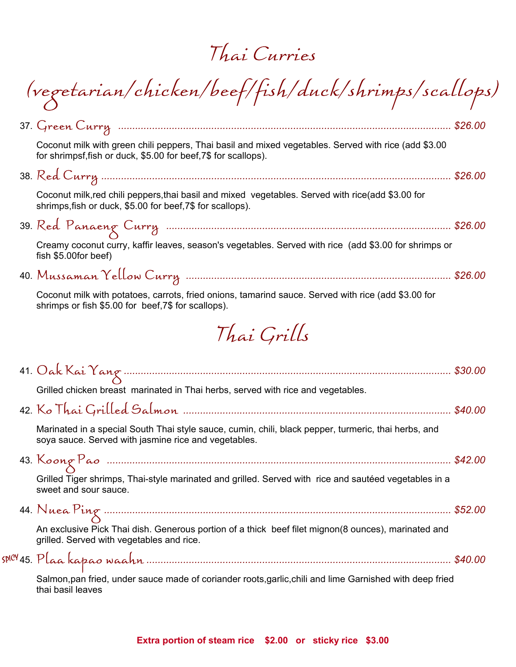## Thai Curries

(vegetarian/chicken/beef/fish/duck/shrimps/scallops)

| Coconut milk with green chili peppers, Thai basil and mixed vegetables. Served with rice (add \$3.00<br>for shrimpsf, fish or duck, \$5.00 for beef, 7\$ for scallops). |  |
|-------------------------------------------------------------------------------------------------------------------------------------------------------------------------|--|
|                                                                                                                                                                         |  |
| Coconut milk, red chili peppers, thai basil and mixed vegetables. Served with rice (add \$3.00 for<br>shrimps, fish or duck, \$5.00 for beef, 7\$ for scallops).        |  |
|                                                                                                                                                                         |  |
| Creamy coconut curry, kaffir leaves, season's vegetables. Served with rice (add \$3.00 for shrimps or<br>fish $$5.00$ for beef)                                         |  |
|                                                                                                                                                                         |  |
|                                                                                                                                                                         |  |

Coconut milk with potatoes, carrots, fried onions, tamarind sauce. Served with rice (add \$3.00 for shrimps or fish \$5.00 for beef,7\$ for scallops).

## Thai Grills

| Grilled chicken breast marinated in Thai herbs, served with rice and vegetables.                                                                             |  |
|--------------------------------------------------------------------------------------------------------------------------------------------------------------|--|
|                                                                                                                                                              |  |
| Marinated in a special South Thai style sauce, cumin, chili, black pepper, turmeric, thai herbs, and<br>soya sauce. Served with jasmine rice and vegetables. |  |
|                                                                                                                                                              |  |
| Grilled Tiger shrimps, Thai-style marinated and grilled. Served with rice and sautéed vegetables in a<br>sweet and sour sauce.                               |  |
|                                                                                                                                                              |  |
| An exclusive Pick Thai dish. Generous portion of a thick beef filet mignon(8 ounces), marinated and<br>grilled. Served with vegetables and rice.             |  |
|                                                                                                                                                              |  |
| Salmon, pan fried, under sauce made of coriander roots, garlic, chili and lime Garnished with deep fried<br>thai basil leaves                                |  |